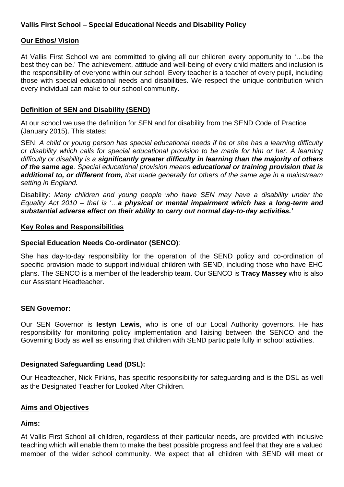# **Vallis First School – Special Educational Needs and Disability Policy**

# **Our Ethos/ Vision**

At Vallis First School we are committed to giving all our children every opportunity to '…be the best they can be.' The achievement, attitude and well-being of every child matters and inclusion is the responsibility of everyone within our school. Every teacher is a teacher of every pupil, including those with special educational needs and disabilities. We respect the unique contribution which every individual can make to our school community.

# **Definition of SEN and Disability (SEND)**

At our school we use the definition for SEN and for disability from the SEND Code of Practice (January 2015). This states:

SEN: *A child or young person has special educational needs if he or she has a learning difficulty or disability which calls for special educational provision to be made for him or her. A learning difficulty or disability is a significantly greater difficulty in learning than the majority of others of the same age. Special educational provision means educational or training provision that is additional to, or different from, that made generally for others of the same age in a mainstream setting in England.* 

Disability: *Many children and young people who have SEN may have a disability under the Equality Act 2010 – that is '…a physical or mental impairment which has a long-term and substantial adverse effect on their ability to carry out normal day-to-day activities.'* 

# **Key Roles and Responsibilities**

# **Special Education Needs Co-ordinator (SENCO)**:

She has day-to-day responsibility for the operation of the SEND policy and co-ordination of specific provision made to support individual children with SEND, including those who have EHC plans. The SENCO is a member of the leadership team. Our SENCO is **Tracy Massey** who is also our Assistant Headteacher.

# **SEN Governor:**

Our SEN Governor is **Iestyn Lewis**, who is one of our Local Authority governors. He has responsibility for monitoring policy implementation and liaising between the SENCO and the Governing Body as well as ensuring that children with SEND participate fully in school activities.

# **Designated Safeguarding Lead (DSL):**

Our Headteacher, Nick Firkins, has specific responsibility for safeguarding and is the DSL as well as the Designated Teacher for Looked After Children.

# **Aims and Objectives**

# **Aims:**

At Vallis First School all children, regardless of their particular needs, are provided with inclusive teaching which will enable them to make the best possible progress and feel that they are a valued member of the wider school community. We expect that all children with SEND will meet or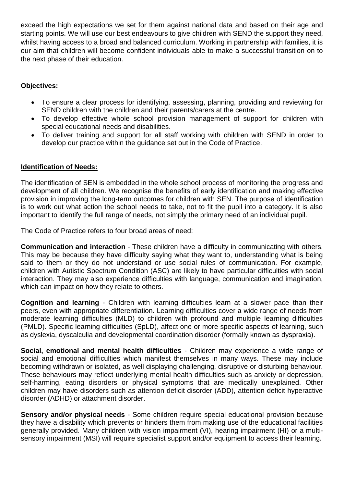exceed the high expectations we set for them against national data and based on their age and starting points. We will use our best endeavours to give children with SEND the support they need, whilst having access to a broad and balanced curriculum. Working in partnership with families, it is our aim that children will become confident individuals able to make a successful transition on to the next phase of their education.

# **Objectives:**

- To ensure a clear process for identifying, assessing, planning, providing and reviewing for SEND children with the children and their parents/carers at the centre.
- To develop effective whole school provision management of support for children with special educational needs and disabilities.
- To deliver training and support for all staff working with children with SEND in order to develop our practice within the guidance set out in the Code of Practice.

# **Identification of Needs:**

The identification of SEN is embedded in the whole school process of monitoring the progress and development of all children. We recognise the benefits of early identification and making effective provision in improving the long-term outcomes for children with SEN. The purpose of identification is to work out what action the school needs to take, not to fit the pupil into a category. It is also important to identify the full range of needs, not simply the primary need of an individual pupil.

The Code of Practice refers to four broad areas of need:

**Communication and interaction** - These children have a difficulty in communicating with others. This may be because they have difficulty saying what they want to, understanding what is being said to them or they do not understand or use social rules of communication. For example, children with Autistic Spectrum Condition (ASC) are likely to have particular difficulties with social interaction. They may also experience difficulties with language, communication and imagination, which can impact on how they relate to others.

**Cognition and learning** - Children with learning difficulties learn at a slower pace than their peers, even with appropriate differentiation. Learning difficulties cover a wide range of needs from moderate learning difficulties (MLD) to children with profound and multiple learning difficulties (PMLD). Specific learning difficulties (SpLD), affect one or more specific aspects of learning, such as dyslexia, dyscalculia and developmental coordination disorder (formally known as dyspraxia).

**Social, emotional and mental health difficulties** - Children may experience a wide range of social and emotional difficulties which manifest themselves in many ways. These may include becoming withdrawn or isolated, as well displaying challenging, disruptive or disturbing behaviour. These behaviours may reflect underlying mental health difficulties such as anxiety or depression, self-harming, eating disorders or physical symptoms that are medically unexplained. Other children may have disorders such as attention deficit disorder (ADD), attention deficit hyperactive disorder (ADHD) or attachment disorder.

**Sensory and/or physical needs** - Some children require special educational provision because they have a disability which prevents or hinders them from making use of the educational facilities generally provided. Many children with vision impairment (VI), hearing impairment (HI) or a multisensory impairment (MSI) will require specialist support and/or equipment to access their learning.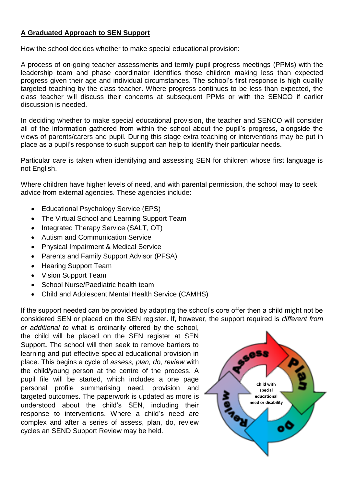# **A Graduated Approach to SEN Support**

How the school decides whether to make special educational provision:

A process of on-going teacher assessments and termly pupil progress meetings (PPMs) with the leadership team and phase coordinator identifies those children making less than expected progress given their age and individual circumstances. The school's first response is high quality targeted teaching by the class teacher. Where progress continues to be less than expected, the class teacher will discuss their concerns at subsequent PPMs or with the SENCO if earlier discussion is needed.

In deciding whether to make special educational provision, the teacher and SENCO will consider all of the information gathered from within the school about the pupil's progress, alongside the views of parents/carers and pupil. During this stage extra teaching or interventions may be put in place as a pupil's response to such support can help to identify their particular needs.

Particular care is taken when identifying and assessing SEN for children whose first language is not English.

Where children have higher levels of need, and with parental permission, the school may to seek advice from external agencies. These agencies include:

- Educational Psychology Service (EPS)
- The Virtual School and Learning Support Team
- Integrated Therapy Service (SALT, OT)
- Autism and Communication Service
- Physical Impairment & Medical Service
- Parents and Family Support Advisor (PFSA)
- Hearing Support Team
- Vision Support Team
- School Nurse/Paediatric health team
- Child and Adolescent Mental Health Service (CAMHS)

If the support needed can be provided by adapting the school's core offer then a child might not be considered SEN or placed on the SEN register. If, however, the support required is *different from* 

*or additional to* what is ordinarily offered by the school, the child will be placed on the SEN register at SEN Support**.** The school will then seek to remove barriers to learning and put effective special educational provision in place. This begins a cycle of *assess, plan, do, review* with the child/young person at the centre of the process. A pupil file will be started, which includes a one page personal profile summarising need, provision and targeted outcomes. The paperwork is updated as more is understood about the child's SEN, including their response to interventions. Where a child's need are complex and after a series of assess, plan, do, review cycles an SEND Support Review may be held.

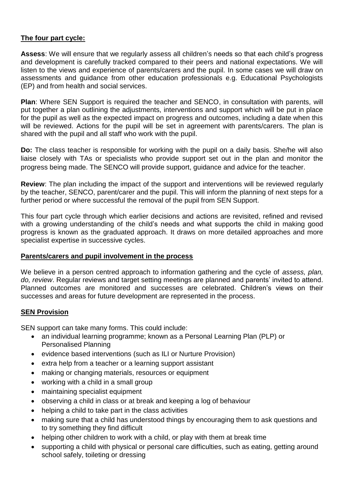# **The four part cycle:**

**Assess**: We will ensure that we regularly assess all children's needs so that each child's progress and development is carefully tracked compared to their peers and national expectations. We will listen to the views and experience of parents/carers and the pupil. In some cases we will draw on assessments and guidance from other education professionals e.g. Educational Psychologists (EP) and from health and social services.

**Plan**: Where SEN Support is required the teacher and SENCO, in consultation with parents, will put together a plan outlining the adjustments, interventions and support which will be put in place for the pupil as well as the expected impact on progress and outcomes, including a date when this will be reviewed. Actions for the pupil will be set in agreement with parents/carers. The plan is shared with the pupil and all staff who work with the pupil.

**Do:** The class teacher is responsible for working with the pupil on a daily basis. She/he will also liaise closely with TAs or specialists who provide support set out in the plan and monitor the progress being made. The SENCO will provide support, guidance and advice for the teacher.

**Review**: The plan including the impact of the support and interventions will be reviewed regularly by the teacher, SENCO, parent/carer and the pupil. This will inform the planning of next steps for a further period or where successful the removal of the pupil from SEN Support.

This four part cycle through which earlier decisions and actions are revisited, refined and revised with a growing understanding of the child's needs and what supports the child in making good progress is known as the graduated approach. It draws on more detailed approaches and more specialist expertise in successive cycles.

# **Parents/carers and pupil involvement in the process**

We believe in a person centred approach to information gathering and the cycle of *assess, plan, do, review*. Regular reviews and target setting meetings are planned and parents' invited to attend. Planned outcomes are monitored and successes are celebrated. Children's views on their successes and areas for future development are represented in the process.

# **SEN Provision**

SEN support can take many forms. This could include:

- an individual learning programme; known as a Personal Learning Plan (PLP) or Personalised Planning
- evidence based interventions (such as ILI or Nurture Provision)
- extra help from a teacher or a learning support assistant
- making or changing materials, resources or equipment
- working with a child in a small group
- maintaining specialist equipment
- observing a child in class or at break and keeping a log of behaviour
- helping a child to take part in the class activities
- making sure that a child has understood things by encouraging them to ask questions and to try something they find difficult
- helping other children to work with a child, or play with them at break time
- supporting a child with physical or personal care difficulties, such as eating, getting around school safely, toileting or dressing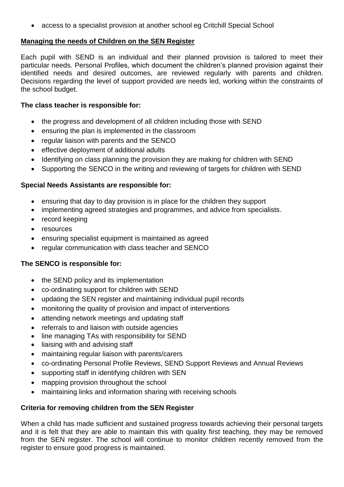access to a specialist provision at another school eg Critchill Special School

#### **Managing the needs of Children on the SEN Register**

Each pupil with SEND is an individual and their planned provision is tailored to meet their particular needs. Personal Profiles, which document the children's planned provision against their identified needs and desired outcomes, are reviewed regularly with parents and children. Decisions regarding the level of support provided are needs led, working within the constraints of the school budget.

# **The class teacher is responsible for:**

- the progress and development of all children including those with SEND
- ensuring the plan is implemented in the classroom
- regular liaison with parents and the SENCO
- effective deployment of additional adults
- Identifying on class planning the provision they are making for children with SEND
- Supporting the SENCO in the writing and reviewing of targets for children with SEND

# **Special Needs Assistants are responsible for:**

- ensuring that day to day provision is in place for the children they support
- implementing agreed strategies and programmes, and advice from specialists.
- record keeping
- resources
- ensuring specialist equipment is maintained as agreed
- regular communication with class teacher and SENCO

# **The SENCO is responsible for:**

- the SEND policy and its implementation
- co-ordinating support for children with SEND
- updating the SEN register and maintaining individual pupil records
- monitoring the quality of provision and impact of interventions
- attending network meetings and updating staff
- referrals to and liaison with outside agencies
- line managing TAs with responsibility for SEND
- liaising with and advising staff
- maintaining regular liaison with parents/carers
- co-ordinating Personal Profile Reviews, SEND Support Reviews and Annual Reviews
- supporting staff in identifying children with SEN
- mapping provision throughout the school
- maintaining links and information sharing with receiving schools

# **Criteria for removing children from the SEN Register**

When a child has made sufficient and sustained progress towards achieving their personal targets and it is felt that they are able to maintain this with quality first teaching, they may be removed from the SEN register. The school will continue to monitor children recently removed from the register to ensure good progress is maintained.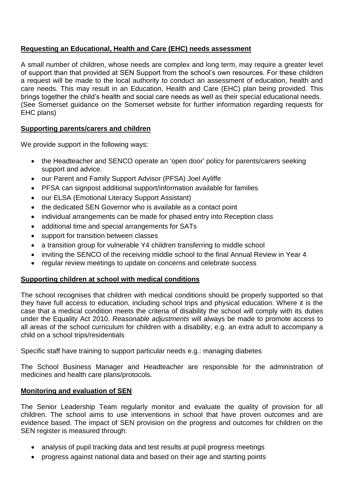# **Requesting an Educational, Health and Care (EHC) needs assessment**

A small number of children, whose needs are complex and long term, may require a greater level of support than that provided at SEN Support from the school's own resources. For these children a request will be made to the local authority to conduct an assessment of education, health and care needs. This may result in an Education, Health and Care (EHC) plan being provided. This brings together the child's health and social care needs as well as their special educational needs. (See Somerset guidance on the Somerset website for further information regarding requests for EHC plans)

# **Supporting parents/carers and children**

We provide support in the following ways:

- the Headteacher and SENCO operate an 'open door' policy for parents/carers seeking support and advice.
- our Parent and Family Support Advisor (PFSA) Joel Ayliffe
- PFSA can signpost additional support/information available for families
- our ELSA (Emotional Literacy Support Assistant)
- the dedicated SEN Governor who is available as a contact point
- individual arrangements can be made for phased entry into Reception class
- additional time and special arrangements for SATs
- support for transition between classes
- a transition group for vulnerable Y4 children transferring to middle school
- inviting the SENCO of the receiving middle school to the final Annual Review in Year 4
- regular review meetings to update on concerns and celebrate success

# **Supporting children at school with medical conditions**

The school recognises that children with medical conditions should be properly supported so that they have full access to education, including school trips and physical education. Where it is the case that a medical condition meets the criteria of disability the school will comply with its duties under the Equality Act 2010. *Reasonable adjustments* will always be made to promote access to all areas of the school curriculum for children with a disability, e.g. an extra adult to accompany a child on a school trips/residentials

Specific staff have training to support particular needs e.g.: managing diabetes

The School Business Manager and Headteacher are responsible for the administration of medicines and health care plans/protocols.

# **Monitoring and evaluation of SEN**

The Senior Leadership Team regularly monitor and evaluate the quality of provision for all children. The school aims to use interventions in school that have proven outcomes and are evidence based. The impact of SEN provision on the progress and outcomes for children on the SEN register is measured through:

- analysis of pupil tracking data and test results at pupil progress meetings
- progress against national data and based on their age and starting points